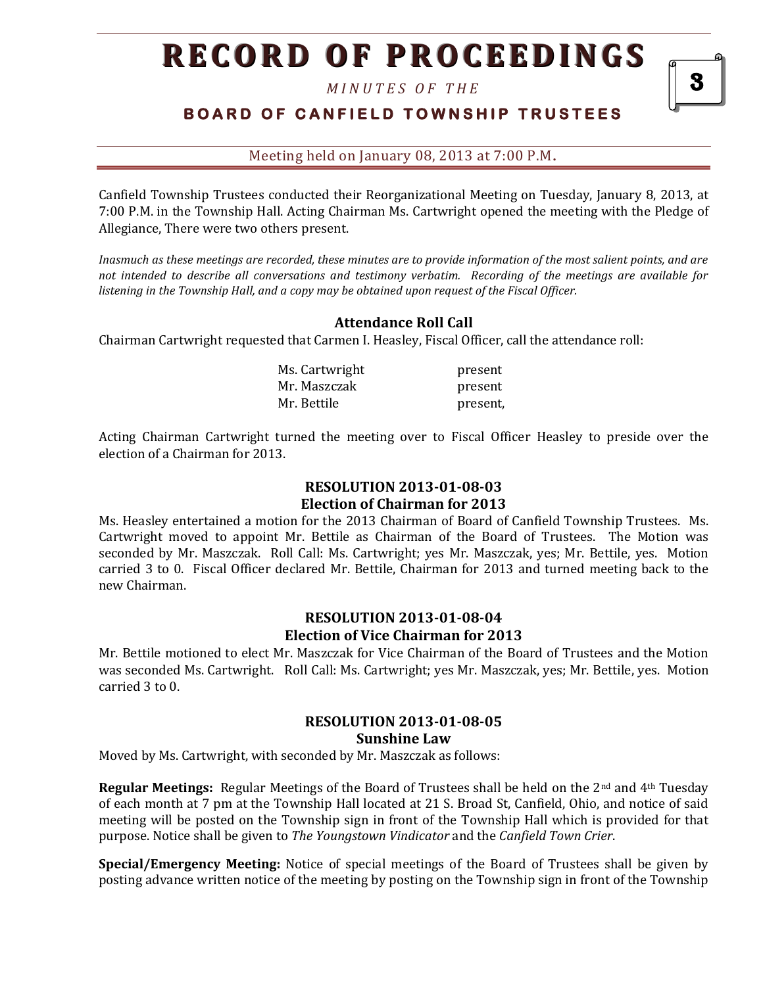*M I N U T E S O F T H E* 

## **B O A R D O F C A N F I E L D T O W N S H I P T R U S T E E S**

Meeting held on January 08, 2013 at 7:00 P.M**.**

Canfield Township Trustees conducted their Reorganizational Meeting on Tuesday, January 8, 2013, at 7:00 P.M. in the Township Hall. Acting Chairman Ms. Cartwright opened the meeting with the Pledge of Allegiance, There were two others present.

*Inasmuch as these meetings are recorded, these minutes are to provide information of the most salient points, and are not intended to describe all conversations and testimony verbatim. Recording of the meetings are available for listening in the Township Hall, and a copy may be obtained upon request of the Fiscal Officer.*

### **Attendance Roll Call**

Chairman Cartwright requested that Carmen I. Heasley, Fiscal Officer, call the attendance roll:

| Ms. Cartwright | present  |
|----------------|----------|
| Mr. Maszczak   | present  |
| Mr. Bettile    | present, |

Acting Chairman Cartwright turned the meeting over to Fiscal Officer Heasley to preside over the election of a Chairman for 2013.

### **RESOLUTION 2013-01-08-03 Election of Chairman for 2013**

Ms. Heasley entertained a motion for the 2013 Chairman of Board of Canfield Township Trustees. Ms. Cartwright moved to appoint Mr. Bettile as Chairman of the Board of Trustees. The Motion was seconded by Mr. Maszczak. Roll Call: Ms. Cartwright; yes Mr. Maszczak, yes; Mr. Bettile, yes. Motion carried 3 to 0. Fiscal Officer declared Mr. Bettile, Chairman for 2013 and turned meeting back to the new Chairman.

#### **RESOLUTION 2013-01-08-04 Election of Vice Chairman for 2013**

Mr. Bettile motioned to elect Mr. Maszczak for Vice Chairman of the Board of Trustees and the Motion was seconded Ms. Cartwright. Roll Call: Ms. Cartwright; yes Mr. Maszczak, yes; Mr. Bettile, yes. Motion carried 3 to 0.

#### **RESOLUTION 2013-01-08-05 Sunshine Law**

Moved by Ms. Cartwright, with seconded by Mr. Maszczak as follows:

**Regular Meetings:** Regular Meetings of the Board of Trustees shall be held on the 2<sup>nd</sup> and 4<sup>th</sup> Tuesday of each month at 7 pm at the Township Hall located at 21 S. Broad St, Canfield, Ohio, and notice of said meeting will be posted on the Township sign in front of the Township Hall which is provided for that purpose. Notice shall be given to *The Youngstown Vindicator* and the *Canfield Town Crier*.

**Special/Emergency Meeting:** Notice of special meetings of the Board of Trustees shall be given by posting advance written notice of the meeting by posting on the Township sign in front of the Township

3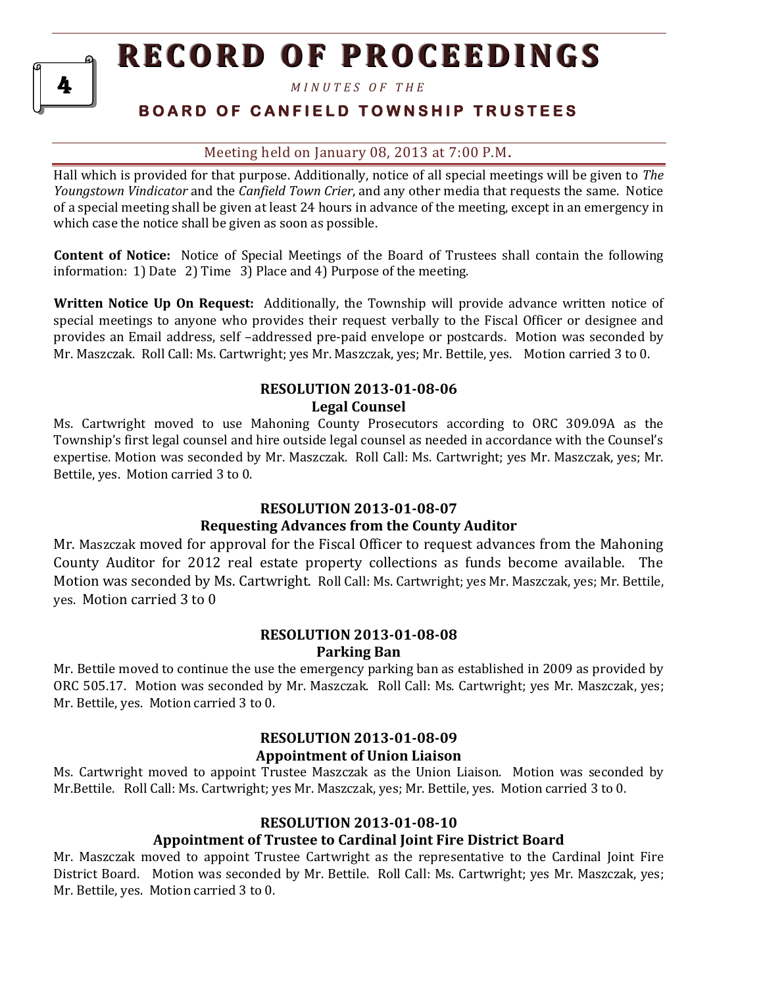*M I N U T E S O F T H E* 

## **B O A R D O F C A N F I E L D T O W N S H I P T R U S T E E S**

## Meeting held on January 08, 2013 at 7:00 P.M**.**

Hall which is provided for that purpose. Additionally, notice of all special meetings will be given to *The Youngstown Vindicator* and the *Canfield Town Crier*, and any other media that requests the same. Notice of a special meeting shall be given at least 24 hours in advance of the meeting, except in an emergency in which case the notice shall be given as soon as possible.

**Content of Notice:** Notice of Special Meetings of the Board of Trustees shall contain the following information: 1) Date 2) Time 3) Place and 4) Purpose of the meeting.

**Written Notice Up On Request:** Additionally, the Township will provide advance written notice of special meetings to anyone who provides their request verbally to the Fiscal Officer or designee and provides an Email address, self –addressed pre-paid envelope or postcards. Motion was seconded by Mr. Maszczak. Roll Call: Ms. Cartwright; yes Mr. Maszczak, yes; Mr. Bettile, yes. Motion carried 3 to 0.

## **RESOLUTION 2013-01-08-06 Legal Counsel**

Ms. Cartwright moved to use Mahoning County Prosecutors according to ORC 309.09A as the Township's first legal counsel and hire outside legal counsel as needed in accordance with the Counsel's expertise. Motion was seconded by Mr. Maszczak. Roll Call: Ms. Cartwright; yes Mr. Maszczak, yes; Mr. Bettile, yes. Motion carried 3 to 0.

## **RESOLUTION 2013-01-08-07**

## **Requesting Advances from the County Auditor**

Mr. Maszczak moved for approval for the Fiscal Officer to request advances from the Mahoning County Auditor for 2012 real estate property collections as funds become available. The Motion was seconded by Ms. Cartwright. Roll Call: Ms. Cartwright; yes Mr. Maszczak, yes; Mr. Bettile, yes. Motion carried 3 to 0

## **RESOLUTION 2013-01-08-08 Parking Ban**

Mr. Bettile moved to continue the use the emergency parking ban as established in 2009 as provided by ORC 505.17. Motion was seconded by Mr. Maszczak. Roll Call: Ms. Cartwright; yes Mr. Maszczak, yes; Mr. Bettile, yes. Motion carried 3 to 0.

## **RESOLUTION 2013-01-08-09**

## **Appointment of Union Liaison**

Ms. Cartwright moved to appoint Trustee Maszczak as the Union Liaison. Motion was seconded by Mr.Bettile. Roll Call: Ms. Cartwright; yes Mr. Maszczak, yes; Mr. Bettile, yes. Motion carried 3 to 0.

## **RESOLUTION 2013-01-08-10**

## **Appointment of Trustee to Cardinal Joint Fire District Board**

Mr. Maszczak moved to appoint Trustee Cartwright as the representative to the Cardinal Joint Fire District Board. Motion was seconded by Mr. Bettile. Roll Call: Ms. Cartwright; yes Mr. Maszczak, yes; Mr. Bettile, yes. Motion carried 3 to 0.

4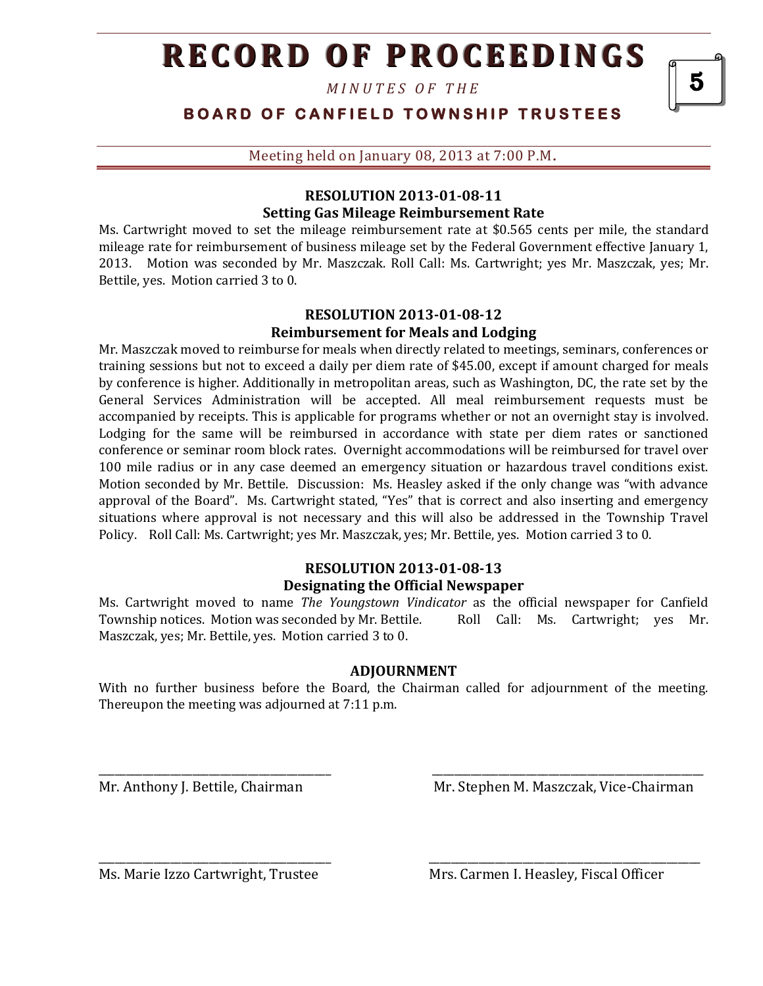*M I N U T E S O F T H E* 

## **B O A R D O F C A N F I E L D T O W N S H I P T R U S T E E S**

Meeting held on January 08, 2013 at 7:00 P.M**.**

### **RESOLUTION 2013-01-08-11 Setting Gas Mileage Reimbursement Rate**

Ms. Cartwright moved to set the mileage reimbursement rate at \$0.565 cents per mile, the standard mileage rate for reimbursement of business mileage set by the Federal Government effective January 1, 2013. Motion was seconded by Mr. Maszczak. Roll Call: Ms. Cartwright; yes Mr. Maszczak, yes; Mr. Bettile, yes. Motion carried 3 to 0.

## **RESOLUTION 2013-01-08-12 Reimbursement for Meals and Lodging**

Mr. Maszczak moved to reimburse for meals when directly related to meetings, seminars, conferences or training sessions but not to exceed a daily per diem rate of \$45.00, except if amount charged for meals by conference is higher. Additionally in metropolitan areas, such as Washington, DC, the rate set by the General Services Administration will be accepted. All meal reimbursement requests must be accompanied by receipts. This is applicable for programs whether or not an overnight stay is involved. Lodging for the same will be reimbursed in accordance with state per diem rates or sanctioned conference or seminar room block rates. Overnight accommodations will be reimbursed for travel over 100 mile radius or in any case deemed an emergency situation or hazardous travel conditions exist. Motion seconded by Mr. Bettile. Discussion: Ms. Heasley asked if the only change was "with advance approval of the Board". Ms. Cartwright stated, "Yes" that is correct and also inserting and emergency situations where approval is not necessary and this will also be addressed in the Township Travel Policy. Roll Call: Ms. Cartwright; yes Mr. Maszczak, yes; Mr. Bettile, yes. Motion carried 3 to 0.

#### **RESOLUTION 2013-01-08-13 Designating the Official Newspaper**

Ms. Cartwright moved to name *The Youngstown Vindicator* as the official newspaper for Canfield Township notices. Motion was seconded by Mr. Bettile. Roll Call: Ms. Cartwright; ves Mr. Maszczak, yes; Mr. Bettile, yes. Motion carried 3 to 0.

### **ADJOURNMENT**

With no further business before the Board, the Chairman called for adjournment of the meeting. Thereupon the meeting was adjourned at 7:11 p.m.

\_\_\_\_\_\_\_\_\_\_\_\_\_\_\_\_\_\_\_\_\_\_\_\_\_\_\_\_\_\_\_\_\_\_\_\_\_\_\_\_\_\_ \_\_\_\_\_\_\_\_\_\_\_\_\_\_\_\_\_\_\_\_\_\_\_\_\_\_\_\_\_\_\_\_\_\_\_\_\_\_\_\_\_\_\_\_\_\_\_\_\_

\_\_\_\_\_\_\_\_\_\_\_\_\_\_\_\_\_\_\_\_\_\_\_\_\_\_\_\_\_\_\_\_\_\_\_\_\_\_\_\_\_\_ \_\_\_\_\_\_\_\_\_\_\_\_\_\_\_\_\_\_\_\_\_\_\_\_\_\_\_\_\_\_\_\_\_\_\_\_\_\_\_\_\_\_\_\_\_\_\_\_\_

Mr. Anthony J. Bettile, Chairman Mr. Stephen M. Maszczak, Vice-Chairman

Ms. Marie Izzo Cartwright, Trustee Mrs. Carmen I. Heasley, Fiscal Officer

5